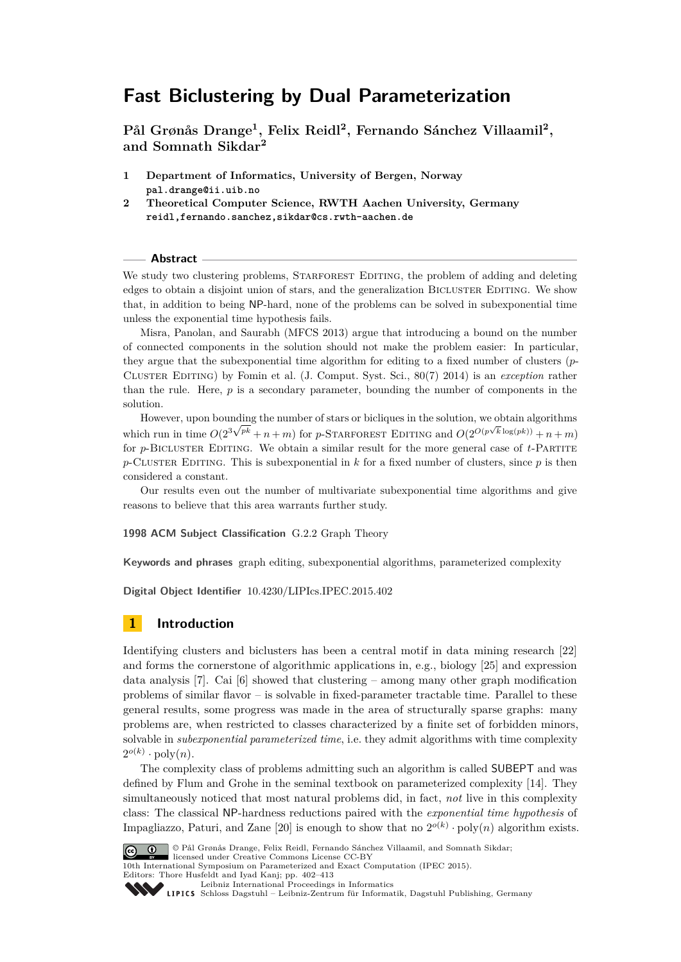# **Fast Biclustering by Dual Parameterization**

**Pål Grønås Drange<sup>1</sup> , Felix Reidl<sup>2</sup> , Fernando Sánchez Villaamil<sup>2</sup> , and Somnath Sikdar<sup>2</sup>**

- **1 Department of Informatics, University of Bergen, Norway pal.drange@ii.uib.no**
- **2 Theoretical Computer Science, RWTH Aachen University, Germany reidl,fernando.sanchez,sikdar@cs.rwth-aachen.de**

#### **Abstract**

We study two clustering problems, STARFOREST EDITING, the problem of adding and deleting edges to obtain a disjoint union of stars, and the generalization BICLUSTER EDITING. We show that, in addition to being NP-hard, none of the problems can be solved in subexponential time unless the exponential time hypothesis fails.

Misra, Panolan, and Saurabh (MFCS 2013) argue that introducing a bound on the number of connected components in the solution should not make the problem easier: In particular, they argue that the subexponential time algorithm for editing to a fixed number of clusters (*p*-Cluster Editing) by Fomin et al. (J. Comput. Syst. Sci., 80(7) 2014) is an *exception* rather than the rule. Here, *p* is a secondary parameter, bounding the number of components in the solution.

However, upon bounding the number of stars or bicliques in the solution, we obtain algorithms which run in time  $O(2^{3\sqrt{pk}} + n + m)$  for *p*-STARFOREST EDITING and  $O(2^{O(p\sqrt{k}\log(pk))} + n + m)$ for *p*-BICLUSTER EDITING. We obtain a similar result for the more general case of *t*-PARTITE  $p$ -CLUSTER EDITING. This is subexponential in  $k$  for a fixed number of clusters, since  $p$  is then considered a constant.

Our results even out the number of multivariate subexponential time algorithms and give reasons to believe that this area warrants further study.

**1998 ACM Subject Classification** G.2.2 Graph Theory

**Keywords and phrases** graph editing, subexponential algorithms, parameterized complexity

**Digital Object Identifier** [10.4230/LIPIcs.IPEC.2015.402](http://dx.doi.org/10.4230/LIPIcs.IPEC.2015.402)

# **1 Introduction**

Identifying clusters and biclusters has been a central motif in data mining research [\[22\]](#page-11-0) and forms the cornerstone of algorithmic applications in, e.g., biology [\[25\]](#page-11-1) and expression data analysis [\[7\]](#page-11-2). Cai [\[6\]](#page-11-3) showed that clustering – among many other graph modification problems of similar flavor – is solvable in fixed-parameter tractable time. Parallel to these general results, some progress was made in the area of structurally sparse graphs: many problems are, when restricted to classes characterized by a finite set of forbidden minors, solvable in *subexponential parameterized time*, i.e. they admit algorithms with time complexity  $2^{o(k)} \cdot \text{poly}(n)$ .

The complexity class of problems admitting such an algorithm is called SUBEPT and was defined by Flum and Grohe in the seminal textbook on parameterized complexity [\[14\]](#page-11-4). They simultaneously noticed that most natural problems did, in fact, *not* live in this complexity class: The classical NP-hardness reductions paired with the *exponential time hypothesis* of Impagliazzo, Paturi, and Zane [\[20\]](#page-11-5) is enough to show that no  $2^{o(k)} \cdot \text{poly}(n)$  algorithm exists.



<sup>©</sup> Pål Grønås Drange, Felix Reidl, Fernando Sánchez Villaamil, and Somnath Sikdar; licensed under Creative Commons License CC-BY

10th International Symposium on Parameterized and Exact Computation (IPEC 2015).

Editors: Thore Husfeldt and Iyad Kanj; pp. 402[–413](#page-11-6) [Leibniz International Proceedings in Informatics](http://www.dagstuhl.de/lipics/)

Leibniz International Froceedings in miormatik, Dagstuhl Publishing, Germany<br>LIPICS [Schloss Dagstuhl – Leibniz-Zentrum für Informatik, Dagstuhl Publishing, Germany](http://www.dagstuhl.de)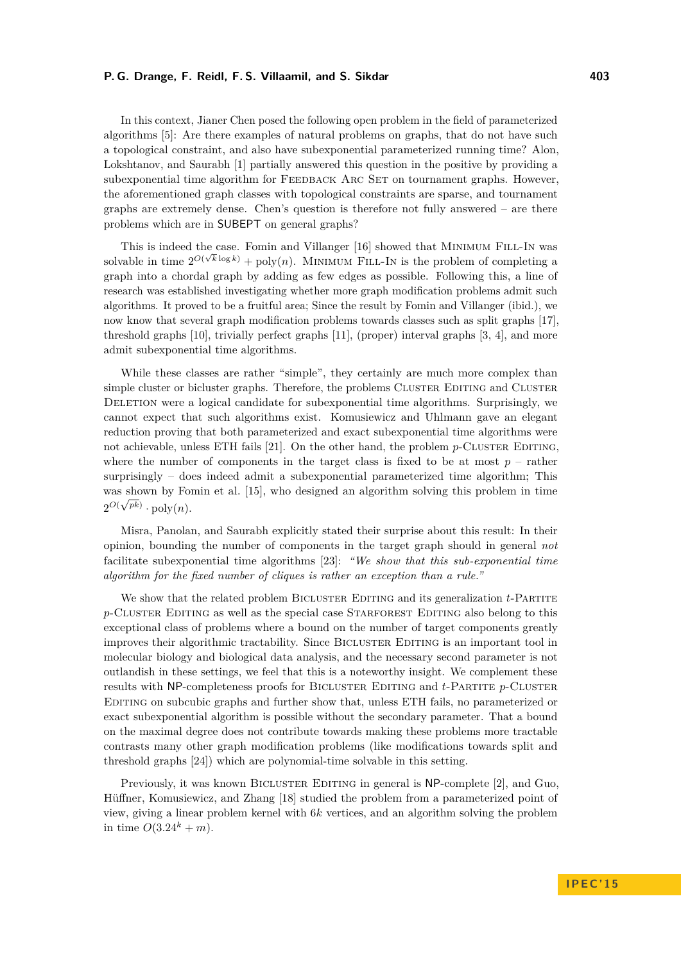#### **P. G. Drange, F. Reidl, F. S. Villaamil, and S. Sikdar 403**

In this context, Jianer Chen posed the following open problem in the field of parameterized algorithms [\[5\]](#page-11-7): Are there examples of natural problems on graphs, that do not have such a topological constraint, and also have subexponential parameterized running time? Alon, Lokshtanov, and Saurabh [\[1\]](#page-11-8) partially answered this question in the positive by providing a subexponential time algorithm for FEEDBACK ARC SET on tournament graphs. However, the aforementioned graph classes with topological constraints are sparse, and tournament graphs are extremely dense. Chen's question is therefore not fully answered – are there problems which are in SUBEPT on general graphs?

This is indeed the case. Fomin and Villanger [\[16\]](#page-11-9) showed that Minimum Fill-In was solvable in time  $2^{O(\sqrt{k}\log k)} + \text{poly}(n)$ . MINIMUM FILL-IN is the problem of completing a graph into a chordal graph by adding as few edges as possible. Following this, a line of research was established investigating whether more graph modification problems admit such algorithms. It proved to be a fruitful area; Since the result by Fomin and Villanger (ibid.), we now know that several graph modification problems towards classes such as split graphs [\[17\]](#page-11-10), threshold graphs [\[10\]](#page-11-11), trivially perfect graphs [\[11\]](#page-11-12), (proper) interval graphs [\[3,](#page-11-13) [4\]](#page-11-14), and more admit subexponential time algorithms.

While these classes are rather "simple", they certainly are much more complex than simple cluster or bicluster graphs. Therefore, the problems CLUSTER EDITING and CLUSTER DELETION were a logical candidate for subexponential time algorithms. Surprisingly, we cannot expect that such algorithms exist. Komusiewicz and Uhlmann gave an elegant reduction proving that both parameterized and exact subexponential time algorithms were not achievable, unless ETH fails  $[21]$ . On the other hand, the problem  $p$ -CLUSTER EDITING, where the number of components in the target class is fixed to be at most  $p$  – rather surprisingly – does indeed admit a subexponential parameterized time algorithm; This was shown by Fomin et al. [\[15\]](#page-11-16), who designed an algorithm solving this problem in time  $2^{O(\sqrt{pk})} \cdot \text{poly}(n)$ .

Misra, Panolan, and Saurabh explicitly stated their surprise about this result: In their opinion, bounding the number of components in the target graph should in general *not* facilitate subexponential time algorithms [\[23\]](#page-11-17): *"We show that this sub-exponential time algorithm for the fixed number of cliques is rather an exception than a rule."*

We show that the related problem BICLUSTER EDITING and its generalization *t*-PARTITE *p*-CLUSTER EDITING as well as the special case STARFOREST EDITING also belong to this exceptional class of problems where a bound on the number of target components greatly improves their algorithmic tractability. Since BICLUSTER EDITING is an important tool in molecular biology and biological data analysis, and the necessary second parameter is not outlandish in these settings, we feel that this is a noteworthy insight. We complement these results with NP-completeness proofs for BICLUSTER EDITING and *t*-PARTITE *p*-CLUSTER Editing on subcubic graphs and further show that, unless ETH fails, no parameterized or exact subexponential algorithm is possible without the secondary parameter. That a bound on the maximal degree does not contribute towards making these problems more tractable contrasts many other graph modification problems (like modifications towards split and threshold graphs [\[24\]](#page-11-18)) which are polynomial-time solvable in this setting.

Previously, it was known BICLUSTER EDITING in general is NP-complete [\[2\]](#page-11-19), and Guo, Hüffner, Komusiewicz, and Zhang [\[18\]](#page-11-20) studied the problem from a parameterized point of view, giving a linear problem kernel with 6*k* vertices, and an algorithm solving the problem in time  $O(3.24^{k} + m)$ .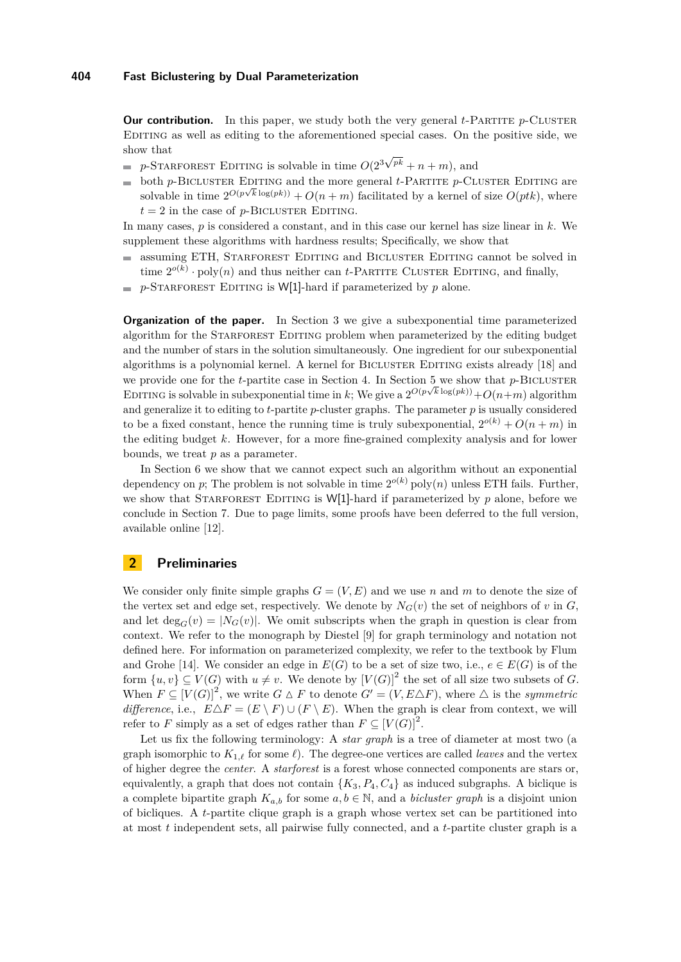**Our contribution.** In this paper, we study both the very general *t*-PARTITE *p*-CLUSTER Editing as well as editing to the aforementioned special cases. On the positive side, we show that √

- $p$ -Starforest Editing is solvable in time  $O(2^3)$  $p^k + n + m$ , and
- both *p*-BICLUSTER EDITING and the more general *t*-PARTITE *p*-CLUSTER EDITING are  $\equiv$ solvable in time  $2^{O(p\sqrt{k}\log(pk))} + O(n+m)$  facilitated by a kernel of size  $O(ptk)$ , where  $t = 2$  in the case of *p*-BICLUSTER EDITING.

In many cases, *p* is considered a constant, and in this case our kernel has size linear in *k*. We supplement these algorithms with hardness results; Specifically, we show that

- assuming ETH, STARFOREST EDITING and BICLUSTER EDITING cannot be solved in  $\equiv$ time  $2^{o(k)} \cdot \text{poly}(n)$  and thus neither can *t*-PARTITE CLUSTER EDITING, and finally,
- $= p$ -STARFOREST EDITING is W[1]-hard if parameterized by *p* alone.

**Organization of the paper.** In Section [3](#page-3-0) we give a subexponential time parameterized algorithm for the STARFOREST EDITING problem when parameterized by the editing budget and the number of stars in the solution simultaneously. One ingredient for our subexponential algorithms is a polynomial kernel. A kernel for BICLUSTER EDITING exists already [\[18\]](#page-11-20) and we provide one for the *t*-partite case in Section [4.](#page-5-0) In Section [5](#page-5-1) we show that  $p$ -BICLUSTER EDITING is solvable in subexponential time in *k*; We give a  $2^{O(p\sqrt{k}\log(pk))} + O(n+m)$  algorithm and generalize it to editing to  $t$ -partite  $p$ -cluster graphs. The parameter  $p$  is usually considered to be a fixed constant, hence the running time is truly subexponential,  $2^{o(k)} + O(n + m)$  in the editing budget *k*. However, for a more fine-grained complexity analysis and for lower bounds, we treat *p* as a parameter.

In Section [6](#page-8-0) we show that we cannot expect such an algorithm without an exponential dependency on *p*; The problem is not solvable in time  $2^{o(k)}$  poly $(n)$  unless ETH fails. Further, we show that STARFOREST EDITING is W[1]-hard if parameterized by  $p$  alone, before we conclude in Section [7.](#page-10-0) Due to page limits, some proofs have been deferred to the full version, available online [\[12\]](#page-11-21).

# **2 Preliminaries**

We consider only finite simple graphs  $G = (V, E)$  and we use *n* and *m* to denote the size of the vertex set and edge set, respectively. We denote by  $N_G(v)$  the set of neighbors of *v* in *G*, and let  $\deg_G(v) = |N_G(v)|$ . We omit subscripts when the graph in question is clear from context. We refer to the monograph by Diestel [\[9\]](#page-11-22) for graph terminology and notation not defined here. For information on parameterized complexity, we refer to the textbook by Flum and Grohe [\[14\]](#page-11-4). We consider an edge in  $E(G)$  to be a set of size two, i.e.,  $e \in E(G)$  is of the form  $\{u, v\} \subseteq V(G)$  with  $u \neq v$ . We denote by  $[V(G)]^2$  the set of all size two subsets of *G*. When  $F \subseteq [V(G)]^2$ , we write  $G \triangle F$  to denote  $G' = (V, E \triangle F)$ , where  $\triangle$  is the *symmetric difference*, i.e.,  $E\Delta F = (E \setminus F) \cup (F \setminus E)$ . When the graph is clear from context, we will refer to *F* simply as a set of edges rather than  $F \subseteq [V(G)]^2$ .

Let us fix the following terminology: A *star graph* is a tree of diameter at most two (a graph isomorphic to  $K_{1,\ell}$  for some  $\ell$ ). The degree-one vertices are called *leaves* and the vertex of higher degree the *center*. A *starforest* is a forest whose connected components are stars or, equivalently, a graph that does not contain  $\{K_3, P_4, C_4\}$  as induced subgraphs. A biclique is a complete bipartite graph  $K_{a,b}$  for some  $a, b \in \mathbb{N}$ , and a *bicluster graph* is a disjoint union of bicliques. A *t*-partite clique graph is a graph whose vertex set can be partitioned into at most *t* independent sets, all pairwise fully connected, and a *t*-partite cluster graph is a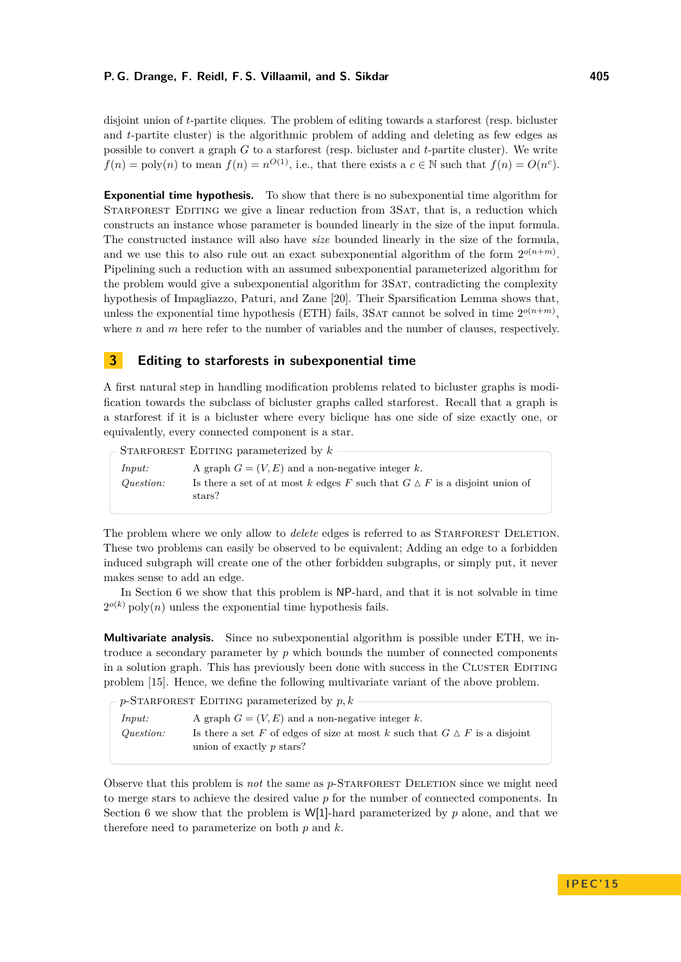disjoint union of *t*-partite cliques. The problem of editing towards a starforest (resp. bicluster and *t*-partite cluster) is the algorithmic problem of adding and deleting as few edges as possible to convert a graph *G* to a starforest (resp. bicluster and *t*-partite cluster). We write  $f(n) = \text{poly}(n)$  to mean  $f(n) = n^{O(1)}$ , i.e., that there exists a  $c \in \mathbb{N}$  such that  $f(n) = O(n^c)$ .

**Exponential time hypothesis.** To show that there is no subexponential time algorithm for STARFOREST EDITING we give a linear reduction from 3SAT, that is, a reduction which constructs an instance whose parameter is bounded linearly in the size of the input formula. The constructed instance will also have *size* bounded linearly in the size of the formula, and we use this to also rule out an exact subexponential algorithm of the form  $2^{o(n+m)}$ . Pipelining such a reduction with an assumed subexponential parameterized algorithm for the problem would give a subexponential algorithm for 3SAT, contradicting the complexity hypothesis of Impagliazzo, Paturi, and Zane [\[20\]](#page-11-5). Their Sparsification Lemma shows that, unless the exponential time hypothesis (ETH) fails, 3SAT cannot be solved in time  $2^{o(n+m)}$ , where *n* and *m* here refer to the number of variables and the number of clauses, respectively.

# <span id="page-3-0"></span>**3 Editing to starforests in subexponential time**

A first natural step in handling modification problems related to bicluster graphs is modification towards the subclass of bicluster graphs called starforest. Recall that a graph is a starforest if it is a bicluster where every biclique has one side of size exactly one, or equivalently, every connected component is a star.

STARFOREST EDITING parameterized by  $k$ 

| Input:    | A graph $G = (V, E)$ and a non-negative integer k.                                          |
|-----------|---------------------------------------------------------------------------------------------|
| Question: | Is there a set of at most k edges F such that $G \Delta F$ is a disjoint union of<br>stars? |

The problem where we only allow to *delete* edges is referred to as STARFOREST DELETION. These two problems can easily be observed to be equivalent; Adding an edge to a forbidden induced subgraph will create one of the other forbidden subgraphs, or simply put, it never makes sense to add an edge.

In Section [6](#page-8-0) we show that this problem is NP-hard, and that it is not solvable in time  $2^{o(k)}$  poly $(n)$  unless the exponential time hypothesis fails.

**Multivariate analysis.** Since no subexponential algorithm is possible under ETH, we introduce a secondary parameter by *p* which bounds the number of connected components in a solution graph. This has previously been done with success in the CLUSTER EDITING problem [\[15\]](#page-11-16). Hence, we define the following multivariate variant of the above problem.

 $p$ -STARFOREST EDITING parameterized by  $p, k$ 

| Input:    | A graph $G = (V, E)$ and a non-negative integer k.                                                            |
|-----------|---------------------------------------------------------------------------------------------------------------|
| Question: | Is there a set F of edges of size at most k such that $G \Delta F$ is a disjoint<br>union of exactly p stars? |

Observe that this problem is *not* the same as *p*-STARFOREST DELETION since we might need to merge stars to achieve the desired value *p* for the number of connected components. In Section [6](#page-8-0) we show that the problem is  $W[1]$ -hard parameterized by  $p$  alone, and that we therefore need to parameterize on both *p* and *k*.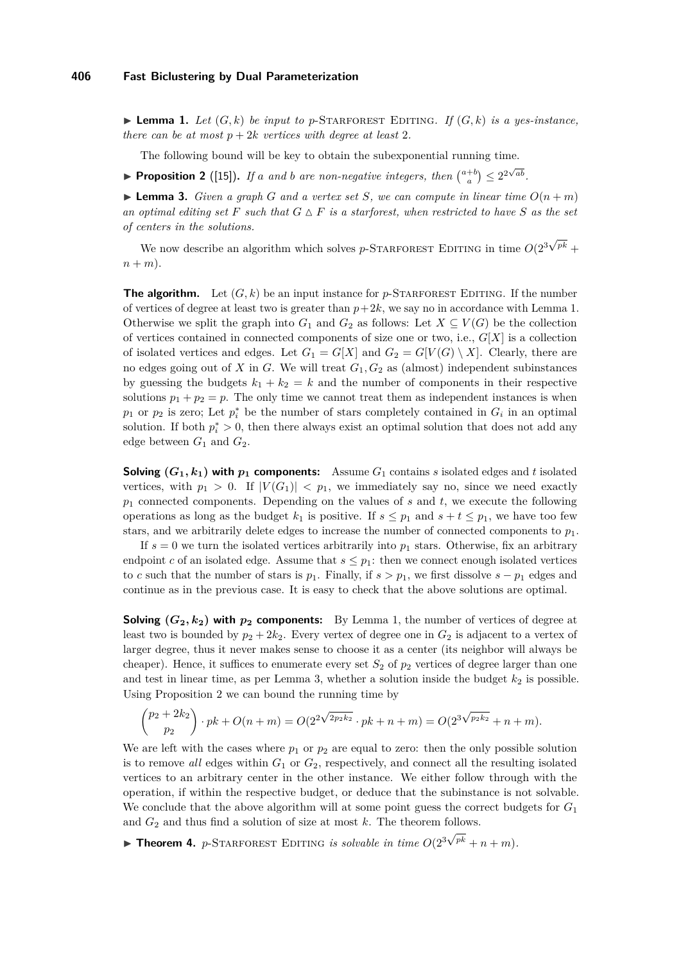<span id="page-4-0"></span> $\blacktriangleright$  **Lemma 1.** Let  $(G, k)$  be input to p-STARFOREST EDITING. If  $(G, k)$  is a yes-instance, *there can be at most*  $p + 2k$  *vertices with degree at least* 2*.* 

The following bound will be key to obtain the subexponential running time.

<span id="page-4-2"></span>**Proposition 2** ([\[15\]](#page-11-16)). If a and b are non-negative integers, then  $\binom{a+b}{a} \leq 2^{2\sqrt{ab}}$ .

<span id="page-4-1"></span>**Example 3.** Given a graph G and a vertex set S, we can compute in linear time  $O(n+m)$ an optimal editing set F such that  $G \Delta F$  is a starforest, when restricted to have S as the set *of centers in the solutions.* √

We now describe an algorithm which solves  $p$ -STARFOREST EDITING in time  $O(2^3)$  $p^k$  +  $n + m$ ).

**The algorithm.** Let  $(G, k)$  be an input instance for *p*-STARFOREST EDITING. If the number of vertices of degree at least two is greater than  $p+2k$ , we say no in accordance with Lemma [1.](#page-4-0) Otherwise we split the graph into  $G_1$  and  $G_2$  as follows: Let  $X \subseteq V(G)$  be the collection of vertices contained in connected components of size one or two, i.e., *G*[*X*] is a collection of isolated vertices and edges. Let  $G_1 = G[X]$  and  $G_2 = G[V(G) \setminus X]$ . Clearly, there are no edges going out of *X* in *G*. We will treat *G*1*, G*<sup>2</sup> as (almost) independent subinstances by guessing the budgets  $k_1 + k_2 = k$  and the number of components in their respective solutions  $p_1 + p_2 = p$ . The only time we cannot treat them as independent instances is when  $p_1$  or  $p_2$  is zero; Let  $p_i^*$  be the number of stars completely contained in  $G_i$  in an optimal solution. If both  $p_i^* > 0$ , then there always exist an optimal solution that does not add any edge between  $G_1$  and  $G_2$ .

**Solving**  $(G_1, k_1)$  with  $p_1$  components: Assume  $G_1$  contains *s* isolated edges and *t* isolated vertices, with  $p_1 > 0$ . If  $|V(G_1)| < p_1$ , we immediately say no, since we need exactly *p*<sup>1</sup> connected components. Depending on the values of *s* and *t*, we execute the following operations as long as the budget  $k_1$  is positive. If  $s \leq p_1$  and  $s + t \leq p_1$ , we have too few stars, and we arbitrarily delete edges to increase the number of connected components to  $p_1$ .

If  $s = 0$  we turn the isolated vertices arbitrarily into  $p_1$  stars. Otherwise, fix an arbitrary endpoint *c* of an isolated edge. Assume that  $s \leq p_1$ : then we connect enough isolated vertices to *c* such that the number of stars is  $p_1$ . Finally, if  $s > p_1$ , we first dissolve  $s - p_1$  edges and continue as in the previous case. It is easy to check that the above solutions are optimal.

**Solving**  $(G_2, k_2)$  with  $p_2$  **components:** By Lemma [1,](#page-4-0) the number of vertices of degree at least two is bounded by  $p_2 + 2k_2$ . Every vertex of degree one in  $G_2$  is adjacent to a vertex of larger degree, thus it never makes sense to choose it as a center (its neighbor will always be cheaper). Hence, it suffices to enumerate every set  $S_2$  of  $p_2$  vertices of degree larger than one and test in linear time, as per Lemma [3,](#page-4-1) whether a solution inside the budget  $k_2$  is possible. Using Proposition [2](#page-4-2) we can bound the running time by

$$
\binom{p_2+2k_2}{p_2}\cdot pk + O(n+m) = O(2^{2\sqrt{2p_2k_2}}\cdot pk + n+m) = O(2^{3\sqrt{p_2k_2}} + n+m).
$$

We are left with the cases where  $p_1$  or  $p_2$  are equal to zero: then the only possible solution is to remove *all* edges within  $G_1$  or  $G_2$ , respectively, and connect all the resulting isolated vertices to an arbitrary center in the other instance. We either follow through with the operation, if within the respective budget, or deduce that the subinstance is not solvable. We conclude that the above algorithm will at some point guess the correct budgets for  $G_1$ and  $G_2$  and thus find a solution of size at most  $k$ . The theorem follows. √

**Theorem 4.** *p*-STARFOREST EDITING *is solvable in time*  $O(2^3)$  $p^{k} + n + m$ ).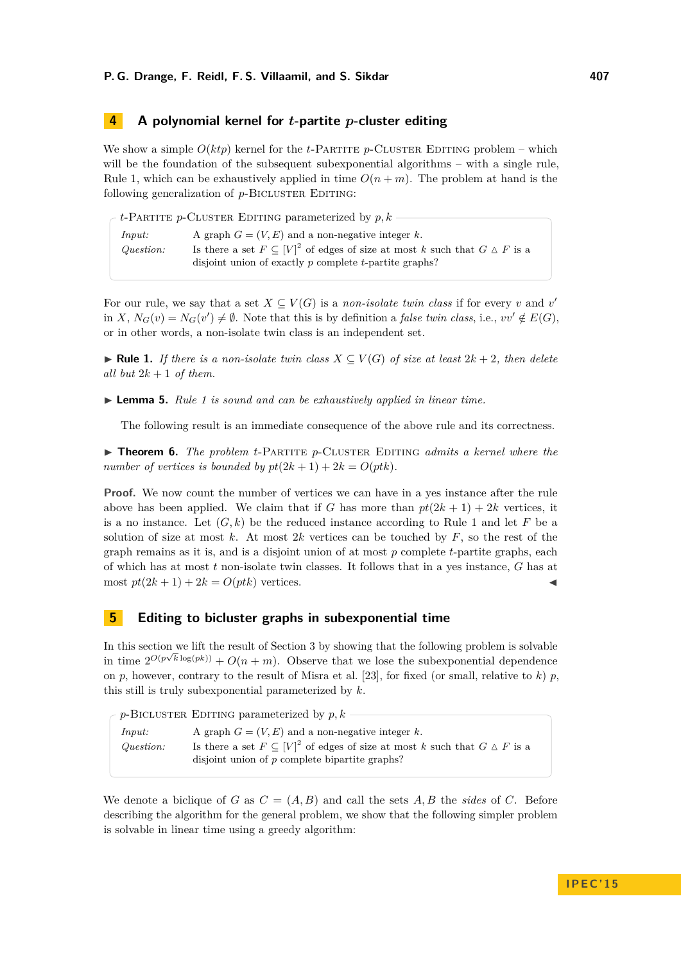# <span id="page-5-0"></span>**4 A polynomial kernel for** *t***-partite** *p***-cluster editing**

We show a simple  $O(ktp)$  kernel for the *t*-PARTITE *p*-CLUSTER EDITING problem – which will be the foundation of the subsequent subexponential algorithms – with a single rule, Rule [1,](#page-5-2) which can be exhaustively applied in time  $O(n+m)$ . The problem at hand is the following generalization of *p*-BICLUSTER EDITING:

|           | $t$ -PARTITE p-CLUSTER EDITING parameterized by $p, k$                                       |
|-----------|----------------------------------------------------------------------------------------------|
|           |                                                                                              |
| Input:    | A graph $G = (V, E)$ and a non-negative integer k.                                           |
| Question: | Is there a set $F \subseteq [V]^2$ of edges of size at most k such that $G \triangle F$ is a |
|           | disjoint union of exactly $p$ complete $t$ -partite graphs?                                  |

For our rule, we say that a set  $X \subseteq V(G)$  is a *non-isolate twin class* if for every *v* and *v*' in *X*,  $N_G(v) = N_G(v') \neq \emptyset$ . Note that this is by definition a *false twin class*, i.e.,  $vv' \notin E(G)$ , or in other words, a non-isolate twin class is an independent set.

<span id="page-5-2"></span>**► Rule 1.** *If there is a non-isolate twin class*  $X \subseteq V(G)$  *of size at least*  $2k + 2$ *, then delete all but*  $2k + 1$  *of them.* 

I **Lemma 5.** *Rule [1](#page-5-2) is sound and can be exhaustively applied in linear time.*

The following result is an immediate consequence of the above rule and its correctness.

<span id="page-5-3"></span>▶ **Theorem 6.** *The problem t*-PARTITE *p*-CLUSTER EDITING *admits a kernel where the number of vertices is bounded by*  $pt(2k+1) + 2k = O(ptk)$ .

**Proof.** We now count the number of vertices we can have in a yes instance after the rule above has been applied. We claim that if *G* has more than  $pt(2k + 1) + 2k$  vertices, it is a no instance. Let  $(G, k)$  be the reduced instance according to Rule [1](#page-5-2) and let F be a solution of size at most  $k$ . At most  $2k$  vertices can be touched by  $F$ , so the rest of the graph remains as it is, and is a disjoint union of at most *p* complete *t*-partite graphs, each of which has at most *t* non-isolate twin classes. It follows that in a yes instance, *G* has at most  $pt(2k+1) + 2k = O(ptk)$  vertices.

# <span id="page-5-1"></span>**5 Editing to bicluster graphs in subexponential time**

In this section we lift the result of Section [3](#page-3-0) by showing that the following problem is solvable in time  $2^{O(p\sqrt{k}\log(pk))} + O(n+m)$ . Observe that we lose the subexponential dependence on *p*, however, contrary to the result of Misra et al. [\[23\]](#page-11-17), for fixed (or small, relative to *k*) *p*, this still is truly subexponential parameterized by *k*.

| $\sim p$ -BICLUSTER EDITING parameterized by p, k – |                                                                                                                                                                                                        |  |
|-----------------------------------------------------|--------------------------------------------------------------------------------------------------------------------------------------------------------------------------------------------------------|--|
| Input:<br>Question:                                 | A graph $G = (V, E)$ and a non-negative integer k.<br>Is there a set $F \subseteq [V]^2$ of edges of size at most k such that $G \triangle F$ is a<br>disjoint union of $p$ complete bipartite graphs? |  |
|                                                     |                                                                                                                                                                                                        |  |

We denote a biclique of *G* as  $C = (A, B)$  and call the sets  $A, B$  the *sides* of *C*. Before describing the algorithm for the general problem, we show that the following simpler problem is solvable in linear time using a greedy algorithm: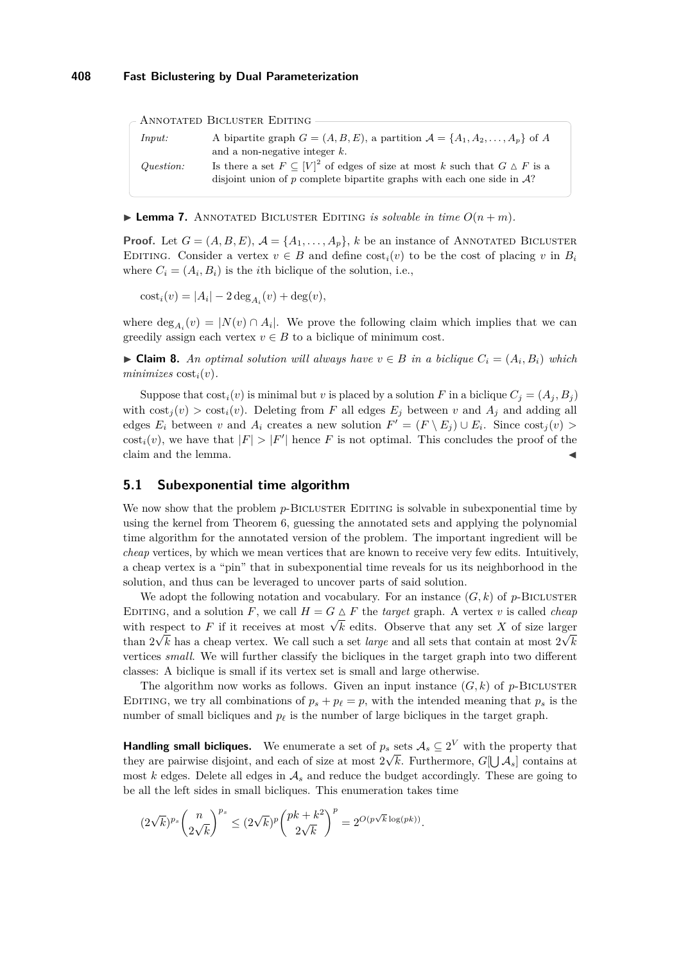#### **408 Fast Biclustering by Dual Parameterization**

*Input:* A bipartite graph  $G = (A, B, E)$ , a partition  $\mathcal{A} = \{A_1, A_2, \ldots, A_p\}$  of A and a non-negative integer *k*. *Question:* Is there a set  $F \subseteq [V]^2$  of edges of size at most *k* such that  $G \triangle F$  is a disjoint union of  $p$  complete bipartite graphs with each one side in  $A$ ? Annotated Bicluster Editing

<span id="page-6-0"></span> $\blacktriangleright$  **Lemma 7.** ANNOTATED BICLUSTER EDITING *is solvable in time*  $O(n+m)$ *.* 

**Proof.** Let  $G = (A, B, E), A = \{A_1, \ldots, A_p\}, k$  be an instance of ANNOTATED BICLUSTER EDITING. Consider a vertex  $v \in B$  and define  $\cos t_i(v)$  to be the cost of placing *v* in  $B_i$ where  $C_i = (A_i, B_i)$  is the *i*th biclique of the solution, i.e.,

 $\text{cost}_i(v) = |A_i| - 2 \deg_{A_i}(v) + \deg(v),$ 

where  $\deg_{A_i}(v) = |N(v) \cap A_i|$ . We prove the following claim which implies that we can greedily assign each vertex  $v \in B$  to a biclique of minimum cost.

▶ **Claim 8.** *An optimal solution will always have*  $v \in B$  *in a biclique*  $C_i = (A_i, B_i)$  *which*  $minimizes \cos t_i(v)$ .

Suppose that  $cost_i(v)$  is minimal but *v* is placed by a solution *F* in a biclique  $C_j = (A_j, B_j)$ with  $\cos t_j(v) > \cos t_i(v)$ . Deleting from *F* all edges  $E_j$  between *v* and  $A_j$  and adding all edges  $E_i$  between *v* and  $A_i$  creates a new solution  $F' = (F \setminus E_j) \cup E_i$ . Since  $cost_j(v)$  $\text{cost}_i(v)$ , we have that  $|F| > |F'|$  hence *F* is not optimal. This concludes the proof of the claim and the lemma.

#### **5.1 Subexponential time algorithm**

We now show that the problem *p*-BICLUSTER EDITING is solvable in subexponential time by using the kernel from Theorem [6,](#page-5-3) guessing the annotated sets and applying the polynomial time algorithm for the annotated version of the problem. The important ingredient will be *cheap* vertices, by which we mean vertices that are known to receive very few edits. Intuitively, a cheap vertex is a "pin" that in subexponential time reveals for us its neighborhood in the solution, and thus can be leveraged to uncover parts of said solution.

We adopt the following notation and vocabulary. For an instance  $(G, k)$  of *p*-BICLUSTER EDITING, and a solution *F*, we call  $H = G \triangle F$  the *target* graph. A vertex *v* is called *cheap* EDITING, and a solution *F*, we can  $H = G \triangle F$  the *target* graph. A vertex *v* is canced *cheap* with respect to *F* if it receives at most  $\sqrt{k}$  edits. Observe that any set *X* of size larger than  $2\sqrt{k}$  has a cheap vertex. We call such a set *large* and all sets that contain at most  $2\sqrt{k}$ vertices *small*. We will further classify the bicliques in the target graph into two different classes: A biclique is small if its vertex set is small and large otherwise.

The algorithm now works as follows. Given an input instance  $(G, k)$  of  $p$ -BICLUSTER EDITING, we try all combinations of  $p_s + p_\ell = p$ , with the intended meaning that  $p_s$  is the number of small bicliques and  $p_\ell$  is the number of large bicliques in the target graph.

**Handling small bicliques.** We enumerate a set of  $p_s$  sets  $\mathcal{A}_s \subseteq 2^V$  with the property that they are pairwise disjoint, and each of size at most  $2\sqrt{k}$ . Furthermore,  $G[\bigcup \mathcal{A}_s]$  contains at most  $k$  edges. Delete all edges in  $\mathcal{A}_s$  and reduce the budget accordingly. These are going to be all the left sides in small bicliques. This enumeration takes time

$$
(2\sqrt{k})^{p_s} \binom{n}{2\sqrt{k}}^{p_s} \leq (2\sqrt{k})^p \binom{pk+k^2}{2\sqrt{k}}^p = 2^{O(p\sqrt{k}\log (pk))}.
$$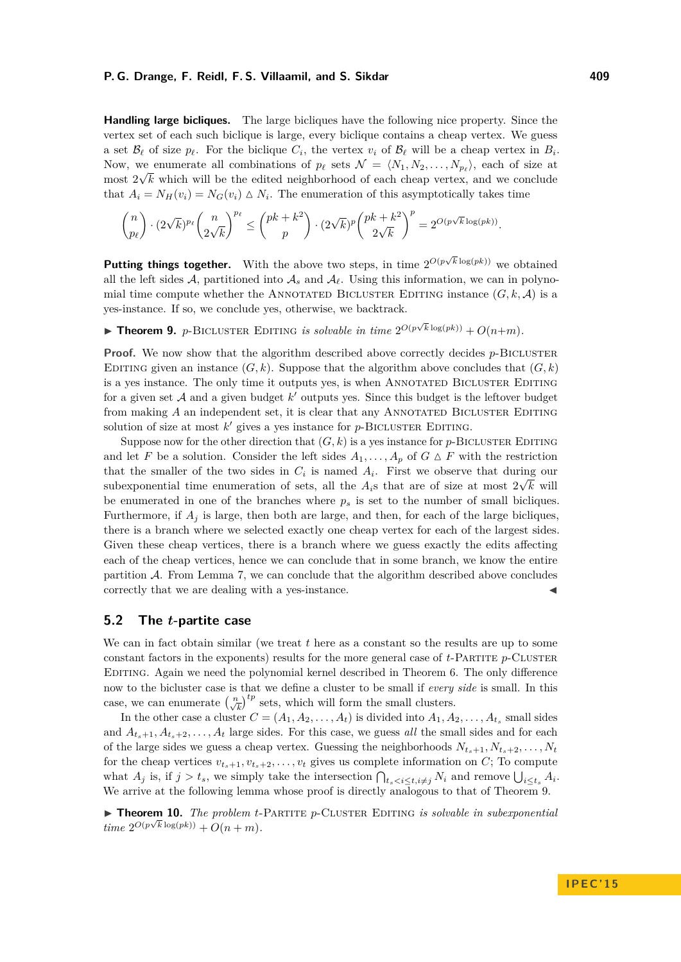#### **P. G. Drange, F. Reidl, F. S. Villaamil, and S. Sikdar 409**

**Handling large bicliques.** The large bicliques have the following nice property. Since the vertex set of each such biclique is large, every biclique contains a cheap vertex. We guess a set  $\mathcal{B}_{\ell}$  of size  $p_{\ell}$ . For the biclique  $C_i$ , the vertex  $v_i$  of  $\mathcal{B}_{\ell}$  will be a cheap vertex in  $B_i$ . Now, we enumerate all combinations of  $p_\ell$  sets  $\mathcal{N} = \langle N_1, N_2, \ldots, N_{p_\ell} \rangle$ , each of size at most  $2\sqrt{k}$  which will be the edited neighborhood of each cheap vertex, and we conclude that  $A_i = N_H(v_i) = N_G(v_i) \triangle N_i$ . The enumeration of this asymptotically takes time

$$
\binom{n}{p_\ell}\cdot (2\sqrt{k})^{p_\ell}\binom{n}{2\sqrt{k}}^{p_\ell}\le \binom{pk+k^2}{p}\cdot (2\sqrt{k})^p\binom{pk+k^2}{2\sqrt{k}}^p=2^{O(p\sqrt{k}\log (pk))}.
$$

**Putting things together.** With the above two steps, in time  $2^{O(p\sqrt{k}\log(pk))}$  we obtained all the left sides A, partitioned into  $A_s$  and  $A_\ell$ . Using this information, we can in polynomial time compute whether the ANNOTATED BICLUSTER EDITING instance  $(G, k, \mathcal{A})$  is a yes-instance. If so, we conclude yes, otherwise, we backtrack.

<span id="page-7-0"></span>**Fineorem 9.** *p*-BICLUSTER EDITING *is solvable in time*  $2^{O(p\sqrt{k}\log(pk))} + O(n+m)$ *.* 

**Proof.** We now show that the algorithm described above correctly decides *p*-BICLUSTER EDITING given an instance  $(G, k)$ . Suppose that the algorithm above concludes that  $(G, k)$ is a yes instance. The only time it outputs yes, is when ANNOTATED BICLUSTER EDITING for a given set  $A$  and a given budget  $k'$  outputs yes. Since this budget is the leftover budget from making A an independent set, it is clear that any ANNOTATED BICLUSTER EDITING solution of size at most  $k'$  gives a yes instance for  $p$ -BICLUSTER EDITING.

Suppose now for the other direction that  $(G, k)$  is a yes instance for *p*-BICLUSTER EDITING and let *F* be a solution. Consider the left sides  $A_1, \ldots, A_p$  of  $G \triangle F$  with the restriction that the smaller of the two sides in  $C_i$  is named  $A_i$ . First we observe that during our subexponential time enumeration of sets, all the  $A_i$ s that are of size at most  $2\sqrt{k}$  will be enumerated in one of the branches where  $p<sub>s</sub>$  is set to the number of small bicliques. Furthermore, if  $A_i$  is large, then both are large, and then, for each of the large bicliques, there is a branch where we selected exactly one cheap vertex for each of the largest sides. Given these cheap vertices, there is a branch where we guess exactly the edits affecting each of the cheap vertices, hence we can conclude that in some branch, we know the entire partition  $A$ . From Lemma [7,](#page-6-0) we can conclude that the algorithm described above concludes correctly that we are dealing with a yes-instance.

### **5.2 The** *t***-partite case**

We can in fact obtain similar (we treat *t* here as a constant so the results are up to some constant factors in the exponents) results for the more general case of  $t$ -PARTITE  $p$ -CLUSTER Editing. Again we need the polynomial kernel described in Theorem [6.](#page-5-3) The only difference now to the bicluster case is that we define a cluster to be small if *every side* is small. In this case, we can enumerate  $\left(\frac{n}{\sqrt{k}}\right)^{tp}$  sets, which will form the small clusters.

In the other case a cluster  $C = (A_1, A_2, \ldots, A_t)$  is divided into  $A_1, A_2, \ldots, A_{t_s}$  small sides and  $A_{t_{s+1}}, A_{t_{s+2}}, \ldots, A_{t}$  large sides. For this case, we guess *all* the small sides and for each of the large sides we guess a cheap vertex. Guessing the neighborhoods  $N_{t_{s}+1}, N_{t_{s}+2}, \ldots, N_{t_{s}+2}$ for the cheap vertices  $v_{t_s+1}, v_{t_s+2}, \ldots, v_t$  gives us complete information on *C*; To compute what  $A_j$  is, if  $j > t_s$ , we simply take the intersection  $\bigcap_{t_s < i \le t, i \ne j} N_i$  and remove  $\bigcup_{i \le t_s} A_i$ . We arrive at the following lemma whose proof is directly analogous to that of Theorem [9.](#page-7-0)

► **Theorem 10.** *The problem t*-PARTITE *p*-CLUSTER EDITING *is solvable in subexponential*  $time \ 2^{O(p\sqrt{k}\log(pk))} + O(n+m).$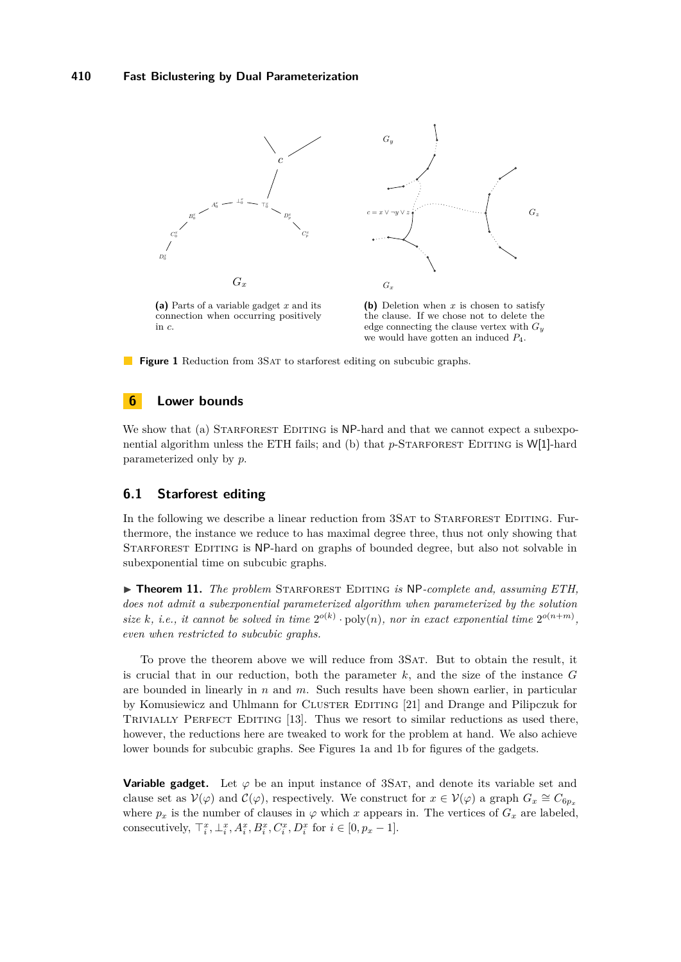<span id="page-8-1"></span>

<span id="page-8-2"></span>the clause. If we chose not to delete the edge connecting the clause vertex with *G<sup>y</sup>* we would have gotten an induced *P*4.

**Figure 1** Reduction from 3SAT to starforest editing on subcubic graphs.

### <span id="page-8-0"></span>**6 Lower bounds**

in *c*.

We show that (a) STARFOREST EDITING is NP-hard and that we cannot expect a subexponential algorithm unless the ETH fails; and (b) that  $p$ -STARFOREST EDITING is W[1]-hard parameterized only by *p*.

# **6.1 Starforest editing**

In the following we describe a linear reduction from 3SAT to STARFOREST EDITING. Furthermore, the instance we reduce to has maximal degree three, thus not only showing that Starforest Editing is NP-hard on graphs of bounded degree, but also not solvable in subexponential time on subcubic graphs.

<span id="page-8-3"></span>▶ **Theorem 11.** *The problem* STARFOREST EDITING *is* NP-complete and, assuming ETH, *does not admit a subexponential parameterized algorithm when parameterized by the solution* size k, i.e., it cannot be solved in time  $2^{o(k)} \cdot \text{poly}(n)$ , nor in exact exponential time  $2^{o(n+m)}$ , *even when restricted to subcubic graphs.*

To prove the theorem above we will reduce from 3Sat. But to obtain the result, it is crucial that in our reduction, both the parameter  $k$ , and the size of the instance  $G$ are bounded in linearly in *n* and *m*. Such results have been shown earlier, in particular by Komusiewicz and Uhlmann for CLUSTER EDITING [\[21\]](#page-11-15) and Drange and Pilipczuk for TRIVIALLY PERFECT EDITING [\[13\]](#page-11-23). Thus we resort to similar reductions as used there, however, the reductions here are tweaked to work for the problem at hand. We also achieve lower bounds for subcubic graphs. See Figures [1a](#page-8-1) and [1b](#page-8-2) for figures of the gadgets.

**Variable gadget.** Let  $\varphi$  be an input instance of 3SAT, and denote its variable set and clause set as  $V(\varphi)$  and  $C(\varphi)$ , respectively. We construct for  $x \in V(\varphi)$  a graph  $G_x \cong C_{6p_x}$ where  $p_x$  is the number of clauses in  $\varphi$  which *x* appears in. The vertices of  $G_x$  are labeled, consecutively,  $\top_i^x, \bot_i^x, A_i^x, B_i^x, C_i^x, D_i^x$  for  $i \in [0, p_x - 1]$ .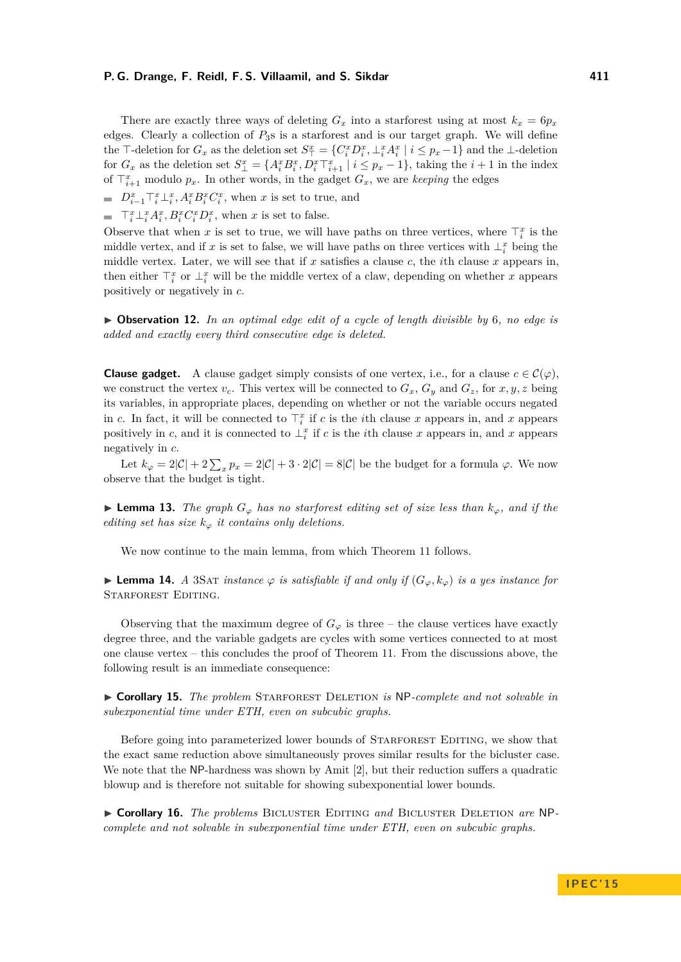#### **P. G. Drange, F. Reidl, F. S. Villaamil, and S. Sikdar 411**

There are exactly three ways of deleting  $G_x$  into a starforest using at most  $k_x = 6p_x$ edges. Clearly a collection of *P*3s is a starforest and is our target graph. We will define the T-deletion for  $G_x$  as the deletion set  $S^x_\top = \{C^x_i D^x_i, \perp^x_i A^x_i \mid i \leq p_x - 1\}$  and the  $\perp$ -deletion for  $G_x$  as the deletion set  $S_{\perp}^x = \{A_i^x B_i^x, D_i^x \top_{i+1}^x \mid i \leq p_x - 1\}$ , taking the  $i+1$  in the index of  $\mathsf{T}_{i+1}^x$  modulo  $p_x$ . In other words, in the gadget  $G_x$ , we are *keeping* the edges

- $D_{i-1}^x \mathcal{T}_i^x \mathcal{\perp}_i^x$ ,  $A_i^x B_i^x C_i^x$ , when *x* is set to true, and
- $\top_i^x \bot_i^x A_i^x, B_i^x C_i^x D_i^x$ , when *x* is set to false.

Observe that when *x* is set to true, we will have paths on three vertices, where  $\top_i^x$  is the middle vertex, and if x is set to false, we will have paths on three vertices with  $\perp_i^x$  being the middle vertex. Later, we will see that if *x* satisfies a clause *c*, the *i*th clause *x* appears in, then either  $\top_i^x$  or  $\bot_i^x$  will be the middle vertex of a claw, depending on whether *x* appears positively or negatively in *c*.

 $\triangleright$  **Observation 12.** In an optimal edge edit of a cycle of length divisible by 6, no edge is *added and exactly every third consecutive edge is deleted.*

**Clause gadget.** A clause gadget simply consists of one vertex, i.e., for a clause  $c \in \mathcal{C}(\varphi)$ . we construct the vertex  $v_c$ . This vertex will be connected to  $G_x$ ,  $G_y$  and  $G_z$ , for  $x, y, z$  being its variables, in appropriate places, depending on whether or not the variable occurs negated in *c*. In fact, it will be connected to  $\mathcal{T}_i^x$  if *c* is the *i*th clause *x* appears in, and *x* appears positively in *c*, and it is connected to  $\perp_i^x$  if *c* is the *i*th clause *x* appears in, and *x* appears negatively in *c*.

Let  $k_{\varphi} = 2|\mathcal{C}| + 2\sum_{x} p_x = 2|\mathcal{C}| + 3 \cdot 2|\mathcal{C}| = 8|\mathcal{C}|$  be the budget for a formula  $\varphi$ . We now observe that the budget is tight.

**► Lemma 13.** The graph  $G_{\varphi}$  has no starforest editing set of size less than  $k_{\varphi}$ , and if the *editing set has size*  $k_{\varphi}$  *it contains only deletions.* 

We now continue to the main lemma, from which Theorem [11](#page-8-3) follows.

 $▶$  **Lemma 14.** *A* 3SAT *instance*  $\varphi$  *is satisfiable if and only if*  $(G_{\varphi}, k_{\varphi})$  *is a yes instance for* Starforest Editing*.*

Observing that the maximum degree of  $G_\varphi$  is three – the clause vertices have exactly degree three, and the variable gadgets are cycles with some vertices connected to at most one clause vertex – this concludes the proof of Theorem [11.](#page-8-3) From the discussions above, the following result is an immediate consequence:

► Corollary 15. *The problem* STARFOREST DELETION *is* NP-complete and not solvable in *subexponential time under ETH, even on subcubic graphs.*

Before going into parameterized lower bounds of STARFOREST EDITING, we show that the exact same reduction above simultaneously proves similar results for the bicluster case. We note that the NP-hardness was shown by Amit [\[2\]](#page-11-19), but their reduction suffers a quadratic blowup and is therefore not suitable for showing subexponential lower bounds.

▶ Corollary 16. *The problems* BICLUSTER EDITING and BICLUSTER DELETION are NP*complete and not solvable in subexponential time under ETH, even on subcubic graphs.*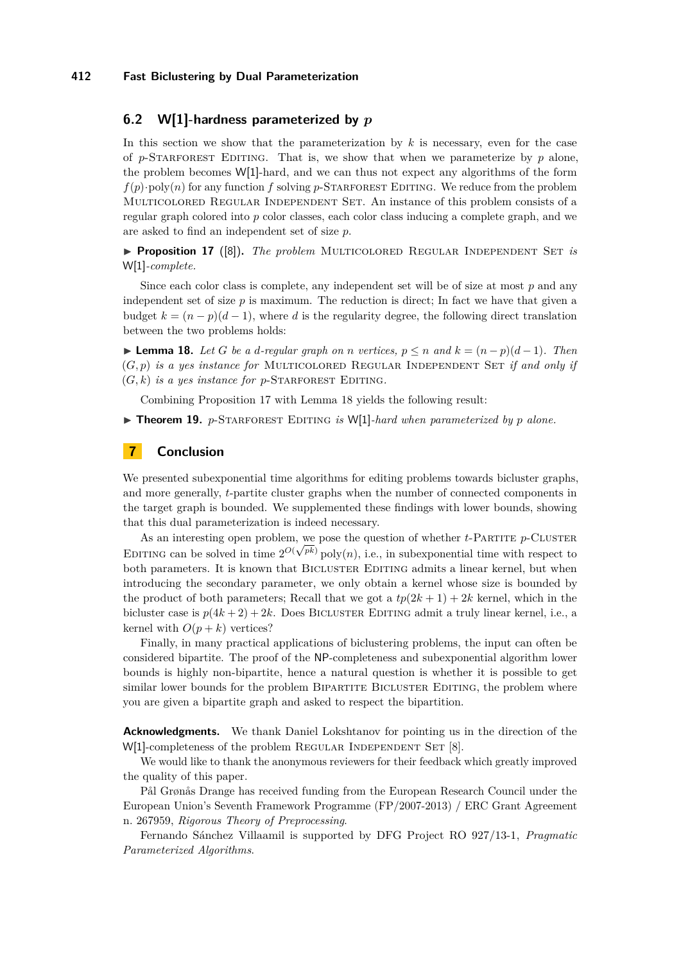#### **412 Fast Biclustering by Dual Parameterization**

# **6.2 W[1]-hardness parameterized by** *p*

In this section we show that the parameterization by *k* is necessary, even for the case of  $p$ -STARFOREST EDITING. That is, we show that when we parameterize by  $p$  alone, the problem becomes W[1]-hard, and we can thus not expect any algorithms of the form  $f(p) \cdot \text{poly}(n)$  for any function  $f$  solving  $p$ -STARFOREST EDITING. We reduce from the problem Multicolored Regular Independent Set. An instance of this problem consists of a regular graph colored into *p* color classes, each color class inducing a complete graph, and we are asked to find an independent set of size *p*.

<span id="page-10-1"></span>▶ **Proposition 17** ([\[8\]](#page-11-24)). *The problem* MULTICOLORED REGULAR INDEPENDENT SET *is* W[1]*-complete.*

Since each color class is complete, any independent set will be of size at most *p* and any independent set of size  $p$  is maximum. The reduction is direct; In fact we have that given a budget  $k = (n - p)(d - 1)$ , where *d* is the regularity degree, the following direct translation between the two problems holds:

<span id="page-10-2"></span>► **Lemma 18.** Let *G* be a *d*-regular graph on *n* vertices,  $p \le n$  and  $k = (n - p)(d - 1)$ . Then  $(G, p)$  *is a yes instance for* MULTICOLORED REGULAR INDEPENDENT SET *if and only if*  $(G, k)$  *is a yes instance for p*-STARFOREST EDITING.

Combining Proposition [17](#page-10-1) with Lemma [18](#page-10-2) yields the following result:

 $\triangleright$  **Theorem 19.** *p*-STARFOREST EDITING *is* W[1]*-hard when parameterized by p alone.* 

# <span id="page-10-0"></span>**7 Conclusion**

We presented subexponential time algorithms for editing problems towards bicluster graphs, and more generally, *t*-partite cluster graphs when the number of connected components in the target graph is bounded. We supplemented these findings with lower bounds, showing that this dual parameterization is indeed necessary.

As an interesting open problem, we pose the question of whether  $t$ -Partitude *p*-Cluster EDITING can be solved in time  $2^{O(\sqrt{pk})}$  poly $(n)$ , i.e., in subexponential time with respect to both parameters. It is known that BICLUSTER EDITING admits a linear kernel, but when introducing the secondary parameter, we only obtain a kernel whose size is bounded by the product of both parameters; Recall that we got a  $tp(2k+1) + 2k$  kernel, which in the bicluster case is  $p(4k + 2) + 2k$ . Does BICLUSTER EDITING admit a truly linear kernel, i.e., a kernel with  $O(p + k)$  vertices?

Finally, in many practical applications of biclustering problems, the input can often be considered bipartite. The proof of the NP-completeness and subexponential algorithm lower bounds is highly non-bipartite, hence a natural question is whether it is possible to get similar lower bounds for the problem BIPARTITE BICLUSTER EDITING, the problem where you are given a bipartite graph and asked to respect the bipartition.

**Acknowledgments.** We thank Daniel Lokshtanov for pointing us in the direction of the W[1]-completeness of the problem REGULAR INDEPENDENT SET [\[8\]](#page-11-24).

We would like to thank the anonymous reviewers for their feedback which greatly improved the quality of this paper.

Pål Grønås Drange has received funding from the European Research Council under the European Union's Seventh Framework Programme (FP/2007-2013) / ERC Grant Agreement n. 267959, *Rigorous Theory of Preprocessing*.

Fernando Sánchez Villaamil is supported by DFG Project RO 927/13-1, *Pragmatic Parameterized Algorithms*.